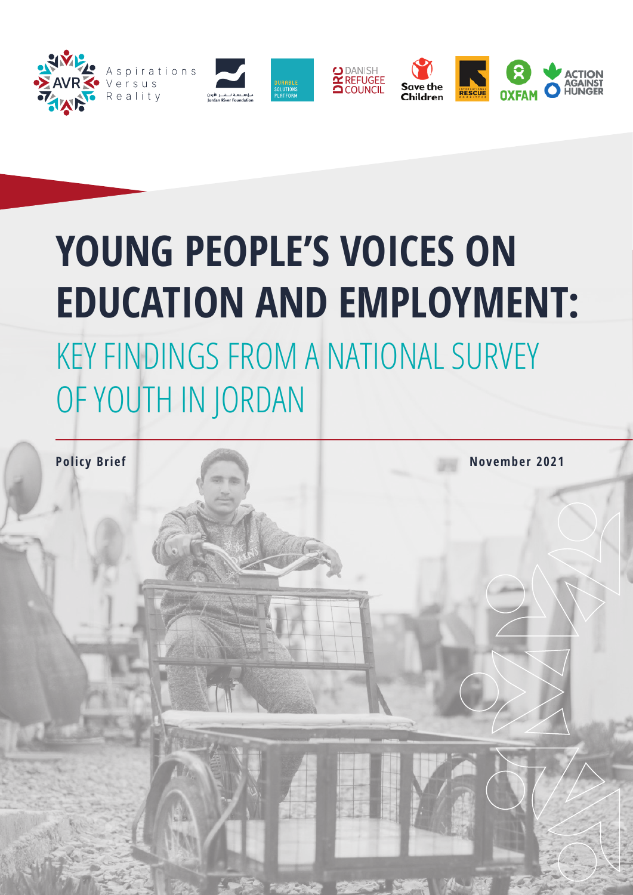

# **YOUNG PEOPLE'S VOICES ON EDUCATION AND EMPLOYMENT:** KEY FINDINGS FROM A NATIONAL SURVEY OF YOUTH IN JORDAN

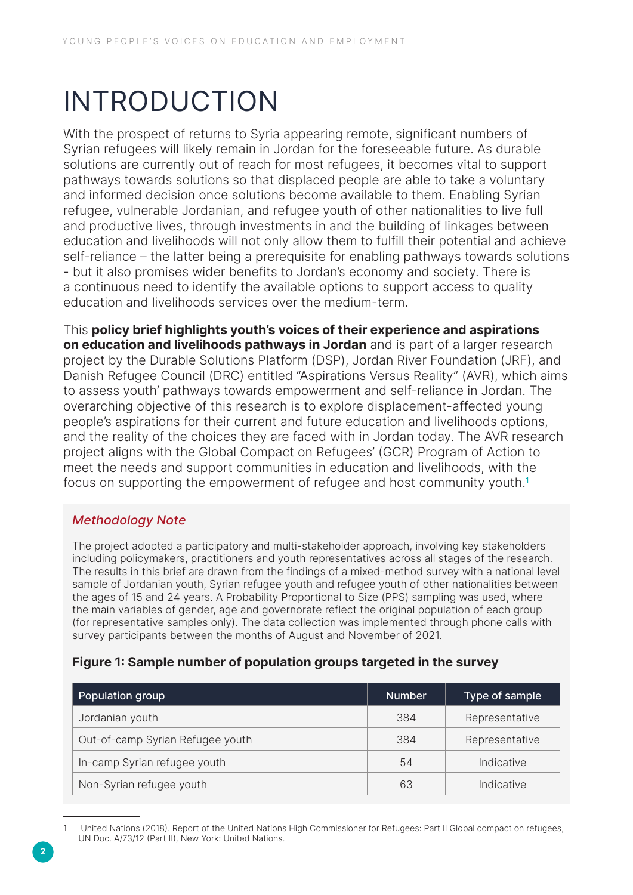## INTRODUCTION

With the prospect of returns to Syria appearing remote, significant numbers of Syrian refugees will likely remain in Jordan for the foreseeable future. As durable solutions are currently out of reach for most refugees, it becomes vital to support pathways towards solutions so that displaced people are able to take a voluntary and informed decision once solutions become available to them. Enabling Syrian refugee, vulnerable Jordanian, and refugee youth of other nationalities to live full and productive lives, through investments in and the building of linkages between education and livelihoods will not only allow them to fulfill their potential and achieve self-reliance – the latter being a prerequisite for enabling pathways towards solutions - but it also promises wider benefits to Jordan's economy and society. There is a continuous need to identify the available options to support access to quality education and livelihoods services over the medium-term.

This policy brief highlights youth's voices of their experience and aspirations on education and livelihoods pathways in Jordan and is part of a larger research project by the Durable Solutions Platform (DSP), Jordan River Foundation (JRF), and Danish Refugee Council (DRC) entitled "Aspirations Versus Reality" (AVR), which aims to assess youth' pathways towards empowerment and self-reliance in Jordan. The overarching objective of this research is to explore displacement-affected young people's aspirations for their current and future education and livelihoods options, and the reality of the choices they are faced with in Jordan today. The AVR research project aligns with the Global Compact on Refugees' (GCR) Program of Action to meet the needs and support communities in education and livelihoods, with the focus on supporting the empowerment of refugee and host community youth.<sup>1</sup>

#### Methodology Note

The project adopted a participatory and multi-stakeholder approach, involving key stakeholders including policymakers, practitioners and youth representatives across all stages of the research. The results in this brief are drawn from the findings of a mixed-method survey with a national level sample of Jordanian youth, Syrian refugee youth and refugee youth of other nationalities between the ages of 15 and 24 years. A Probability Proportional to Size (PPS) sampling was used, where the main variables of gender, age and governorate reflect the original population of each group (for representative samples only). The data collection was implemented through phone calls with survey participants between the months of August and November of 2021.

#### Figure 1: Sample number of population groups targeted in the survey

| <b>Population group</b>          | <b>Number</b> | Type of sample |
|----------------------------------|---------------|----------------|
| Jordanian youth                  | 384           | Representative |
| Out-of-camp Syrian Refugee youth | 384           | Representative |
| In-camp Syrian refugee youth     | 54            | Indicative     |
| Non-Syrian refugee youth         | 63            | Indicative     |

United Nations (2018). Report of the United Nations High Commissioner for Refugees: Part II Global compact on refugees, UN Doc. A/73/12 (Part II), New York: United Nations.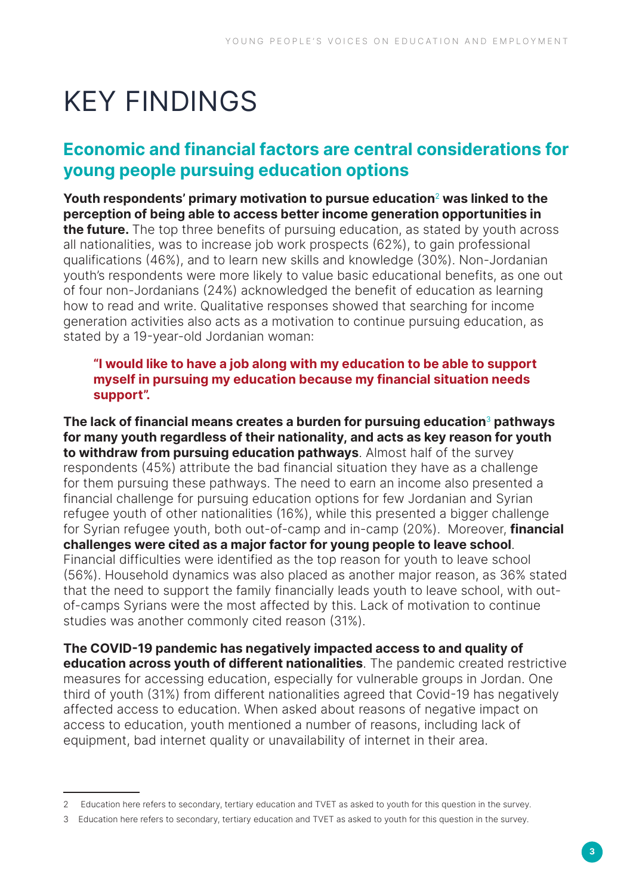## KEY FINDINGS

## Economic and financial factors are central considerations for young people pursuing education options

Youth respondents' primary motivation to pursue education $2$  was linked to the perception of being able to access better income generation opportunities in the future. The top three benefits of pursuing education, as stated by youth across all nationalities, was to increase job work prospects (62%), to gain professional qualifications (46%), and to learn new skills and knowledge (30%). Non-Jordanian youth's respondents were more likely to value basic educational benefits, as one out of four non-Jordanians (24%) acknowledged the benefit of education as learning how to read and write. Qualitative responses showed that searching for income generation activities also acts as a motivation to continue pursuing education, as stated by a 19-year-old Jordanian woman:

#### "I would like to have a job along with my education to be able to support myself in pursuing my education because my financial situation needs support".

The lack of financial means creates a burden for pursuing education $3$  pathways for many youth regardless of their nationality, and acts as key reason for youth to withdraw from pursuing education pathways. Almost half of the survey respondents (45%) attribute the bad financial situation they have as a challenge for them pursuing these pathways. The need to earn an income also presented a financial challenge for pursuing education options for few Jordanian and Syrian refugee youth of other nationalities (16%), while this presented a bigger challenge for Syrian refugee youth, both out-of-camp and in-camp (20%). Moreover, **financial** challenges were cited as a major factor for young people to leave school. Financial difficulties were identified as the top reason for youth to leave school (56%). Household dynamics was also placed as another major reason, as 36% stated that the need to support the family financially leads youth to leave school, with outof-camps Syrians were the most affected by this. Lack of motivation to continue studies was another commonly cited reason (31%).

The COVID-19 pandemic has negatively impacted access to and quality of education across youth of different nationalities. The pandemic created restrictive measures for accessing education, especially for vulnerable groups in Jordan. One third of youth (31%) from different nationalities agreed that Covid-19 has negatively affected access to education. When asked about reasons of negative impact on access to education, youth mentioned a number of reasons, including lack of equipment, bad internet quality or unavailability of internet in their area.

<sup>2</sup> Education here refers to secondary, tertiary education and TVET as asked to youth for this question in the survey.

<sup>3</sup> Education here refers to secondary, tertiary education and TVET as asked to youth for this question in the survey.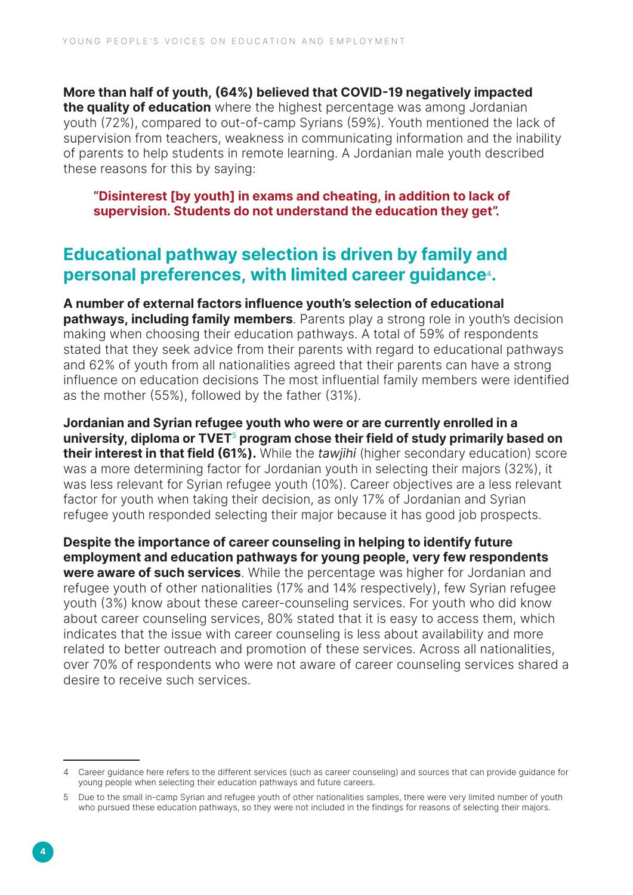More than half of youth, (64%) believed that COVID-19 negatively impacted the quality of education where the highest percentage was among Jordanian youth (72%), compared to out-of-camp Syrians (59%). Youth mentioned the lack of supervision from teachers, weakness in communicating information and the inability of parents to help students in remote learning. A Jordanian male youth described these reasons for this by saying:

"Disinterest [by youth] in exams and cheating, in addition to lack of supervision. Students do not understand the education they get".

### Educational pathway selection is driven by family and personal preferences, with limited career guidance4.

A number of external factors influence youth's selection of educational **pathways, including family members**. Parents play a strong role in youth's decision making when choosing their education pathways. A total of 59% of respondents stated that they seek advice from their parents with regard to educational pathways and 62% of youth from all nationalities agreed that their parents can have a strong influence on education decisions The most influential family members were identified as the mother (55%), followed by the father (31%).

Jordanian and Syrian refugee youth who were or are currently enrolled in a university, diploma or TVET<sup>5</sup> program chose their field of study primarily based on their interest in that field (61%). While the tawjihi (higher secondary education) score was a more determining factor for Jordanian youth in selecting their majors (32%), it was less relevant for Syrian refugee youth (10%). Career objectives are a less relevant factor for youth when taking their decision, as only 17% of Jordanian and Syrian refugee youth responded selecting their major because it has good job prospects.

Despite the importance of career counseling in helping to identify future employment and education pathways for young people, very few respondents were aware of such services. While the percentage was higher for Jordanian and refugee youth of other nationalities (17% and 14% respectively), few Syrian refugee youth (3%) know about these career-counseling services. For youth who did know about career counseling services, 80% stated that it is easy to access them, which indicates that the issue with career counseling is less about availability and more related to better outreach and promotion of these services. Across all nationalities, over 70% of respondents who were not aware of career counseling services shared a desire to receive such services.

<sup>4</sup> Career guidance here refers to the different services (such as career counseling) and sources that can provide guidance for young people when selecting their education pathways and future careers.

<sup>5</sup> Due to the small in-camp Syrian and refugee youth of other nationalities samples, there were very limited number of youth who pursued these education pathways, so they were not included in the findings for reasons of selecting their majors.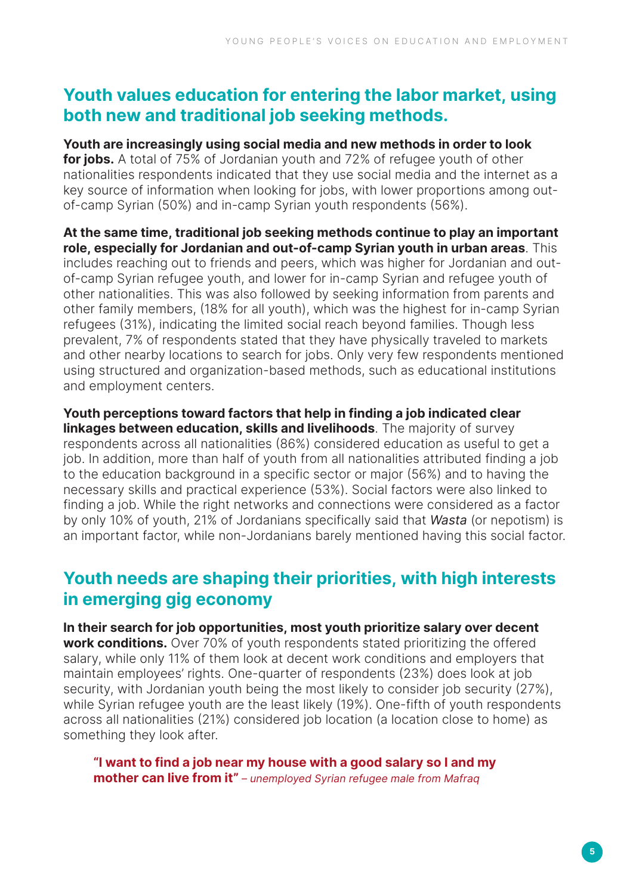## Youth values education for entering the labor market, using both new and traditional job seeking methods.

Youth are increasingly using social media and new methods in order to look for jobs. A total of 75% of Jordanian youth and 72% of refugee youth of other nationalities respondents indicated that they use social media and the internet as a key source of information when looking for jobs, with lower proportions among outof-camp Syrian (50%) and in-camp Syrian youth respondents (56%).

At the same time, traditional job seeking methods continue to play an important role, especially for Jordanian and out-of-camp Syrian youth in urban areas. This includes reaching out to friends and peers, which was higher for Jordanian and outof-camp Syrian refugee youth, and lower for in-camp Syrian and refugee youth of other nationalities. This was also followed by seeking information from parents and other family members, (18% for all youth), which was the highest for in-camp Syrian refugees (31%), indicating the limited social reach beyond families. Though less prevalent, 7% of respondents stated that they have physically traveled to markets and other nearby locations to search for jobs. Only very few respondents mentioned using structured and organization-based methods, such as educational institutions and employment centers.

Youth perceptions toward factors that help in finding a job indicated clear **linkages between education, skills and livelihoods.** The majority of survey respondents across all nationalities (86%) considered education as useful to get a job. In addition, more than half of youth from all nationalities attributed finding a job to the education background in a specific sector or major (56%) and to having the necessary skills and practical experience (53%). Social factors were also linked to finding a job. While the right networks and connections were considered as a factor by only 10% of youth, 21% of Jordanians specifically said that Wasta (or nepotism) is an important factor, while non-Jordanians barely mentioned having this social factor.

## Youth needs are shaping their priorities, with high interests in emerging gig economy

In their search for job opportunities, most youth prioritize salary over decent **work conditions.** Over 70% of youth respondents stated prioritizing the offered salary, while only 11% of them look at decent work conditions and employers that maintain employees' rights. One-quarter of respondents (23%) does look at job security, with Jordanian youth being the most likely to consider job security (27%), while Syrian refugee youth are the least likely (19%). One-fifth of youth respondents across all nationalities (21%) considered job location (a location close to home) as something they look after.

"I want to find a job near my house with a good salary so I and my **mother can live from it"** – unemployed Syrian refugee male from Mafrag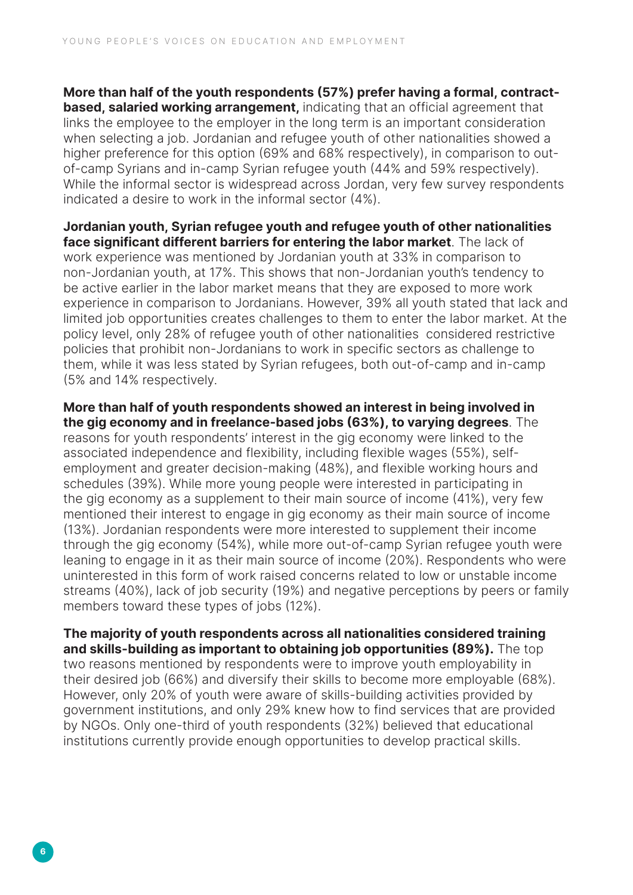More than half of the youth respondents (57%) prefer having a formal, contractbased, salaried working arrangement, indicating that an official agreement that links the employee to the employer in the long term is an important consideration when selecting a job. Jordanian and refugee youth of other nationalities showed a higher preference for this option (69% and 68% respectively), in comparison to outof-camp Syrians and in-camp Syrian refugee youth (44% and 59% respectively). While the informal sector is widespread across Jordan, very few survey respondents indicated a desire to work in the informal sector (4%).

Jordanian youth, Syrian refugee youth and refugee youth of other nationalities face significant different barriers for entering the labor market. The lack of work experience was mentioned by Jordanian youth at 33% in comparison to non-Jordanian youth, at 17%. This shows that non-Jordanian youth's tendency to be active earlier in the labor market means that they are exposed to more work experience in comparison to Jordanians. However, 39% all youth stated that lack and limited job opportunities creates challenges to them to enter the labor market. At the policy level, only 28% of refugee youth of other nationalities considered restrictive policies that prohibit non-Jordanians to work in specific sectors as challenge to them, while it was less stated by Syrian refugees, both out-of-camp and in-camp (5% and 14% respectively.

More than half of youth respondents showed an interest in being involved in the gig economy and in freelance-based jobs (63%), to varying degrees. The reasons for youth respondents' interest in the gig economy were linked to the associated independence and flexibility, including flexible wages (55%), selfemployment and greater decision-making (48%), and flexible working hours and schedules (39%). While more young people were interested in participating in the gig economy as a supplement to their main source of income (41%), very few mentioned their interest to engage in gig economy as their main source of income (13%). Jordanian respondents were more interested to supplement their income through the gig economy (54%), while more out-of-camp Syrian refugee youth were leaning to engage in it as their main source of income (20%). Respondents who were uninterested in this form of work raised concerns related to low or unstable income streams (40%), lack of job security (19%) and negative perceptions by peers or family members toward these types of jobs (12%).

The majority of youth respondents across all nationalities considered training and skills-building as important to obtaining job opportunities (89%). The top two reasons mentioned by respondents were to improve youth employability in their desired job (66%) and diversify their skills to become more employable (68%). However, only 20% of youth were aware of skills-building activities provided by government institutions, and only 29% knew how to find services that are provided by NGOs. Only one-third of youth respondents (32%) believed that educational institutions currently provide enough opportunities to develop practical skills.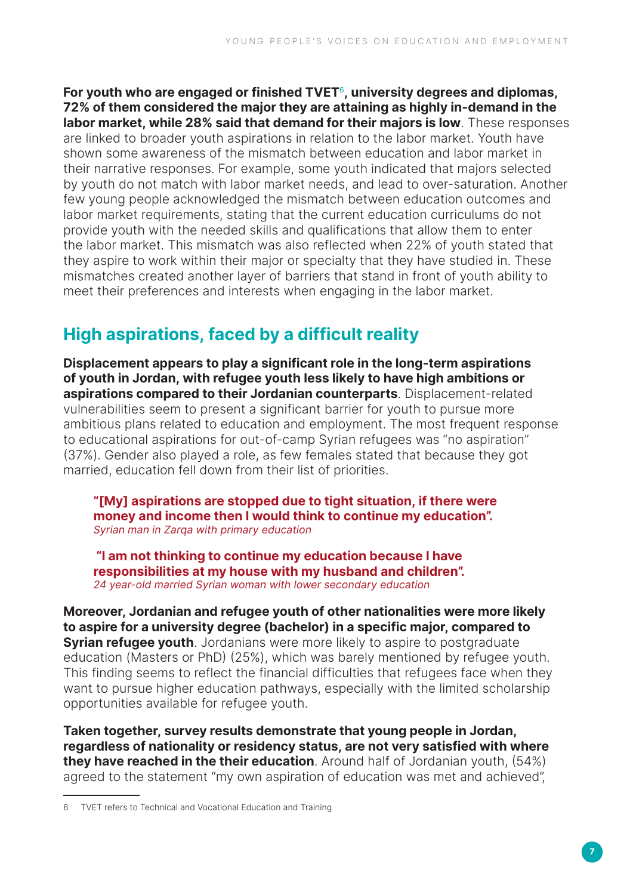For youth who are engaged or finished  $\text{TVET}^6$ , university degrees and diplomas, 72% of them considered the major they are attaining as highly in-demand in the labor market, while 28% said that demand for their majors is low. These responses are linked to broader youth aspirations in relation to the labor market. Youth have shown some awareness of the mismatch between education and labor market in their narrative responses. For example, some youth indicated that majors selected by youth do not match with labor market needs, and lead to over-saturation. Another few young people acknowledged the mismatch between education outcomes and labor market requirements, stating that the current education curriculums do not provide youth with the needed skills and qualifications that allow them to enter the labor market. This mismatch was also reflected when 22% of youth stated that they aspire to work within their major or specialty that they have studied in. These mismatches created another layer of barriers that stand in front of youth ability to meet their preferences and interests when engaging in the labor market.

## High aspirations, faced by a difficult reality

Displacement appears to play a significant role in the long-term aspirations of youth in Jordan, with refugee youth less likely to have high ambitions or aspirations compared to their Jordanian counterparts. Displacement-related vulnerabilities seem to present a significant barrier for youth to pursue more ambitious plans related to education and employment. The most frequent response to educational aspirations for out-of-camp Syrian refugees was "no aspiration" (37%). Gender also played a role, as few females stated that because they got married, education fell down from their list of priorities.

"[My] aspirations are stopped due to tight situation, if there were money and income then I would think to continue my education". Syrian man in Zarqa with primary education

 "I am not thinking to continue my education because I have responsibilities at my house with my husband and children". 24 year-old married Syrian woman with lower secondary education

Moreover, Jordanian and refugee youth of other nationalities were more likely to aspire for a university degree (bachelor) in a specific major, compared to **Syrian refugee youth**. Jordanians were more likely to aspire to postgraduate education (Masters or PhD) (25%), which was barely mentioned by refugee youth. This finding seems to reflect the financial difficulties that refugees face when they want to pursue higher education pathways, especially with the limited scholarship opportunities available for refugee youth.

Taken together, survey results demonstrate that young people in Jordan, regardless of nationality or residency status, are not very satisfied with where **they have reached in the their education**. Around half of Jordanian youth, (54%) agreed to the statement "my own aspiration of education was met and achieved",

<sup>6</sup> TVET refers to Technical and Vocational Education and Training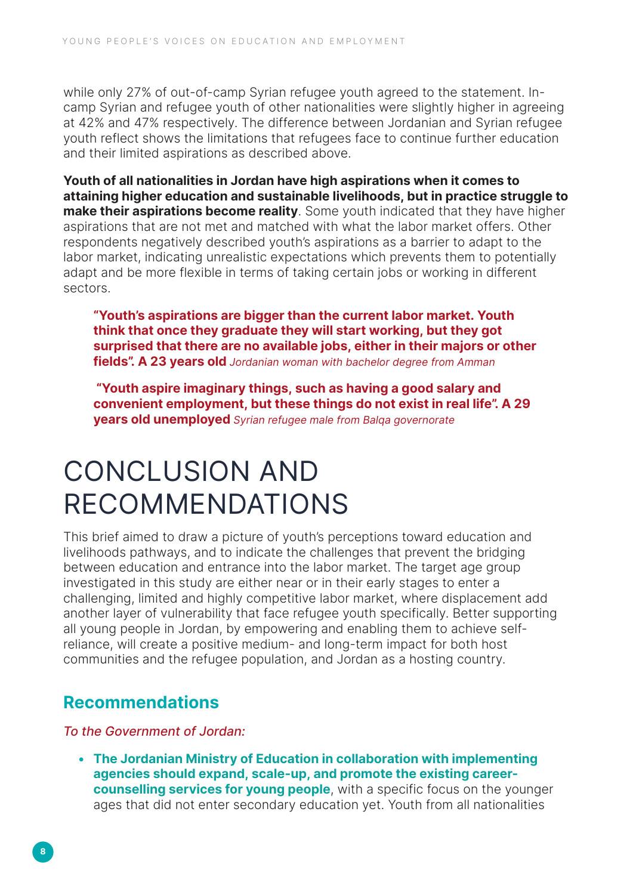while only 27% of out-of-camp Syrian refugee youth agreed to the statement. Incamp Syrian and refugee youth of other nationalities were slightly higher in agreeing at 42% and 47% respectively. The difference between Jordanian and Syrian refugee youth reflect shows the limitations that refugees face to continue further education and their limited aspirations as described above.

Youth of all nationalities in Jordan have high aspirations when it comes to attaining higher education and sustainable livelihoods, but in practice struggle to make their aspirations become reality. Some youth indicated that they have higher aspirations that are not met and matched with what the labor market offers. Other respondents negatively described youth's aspirations as a barrier to adapt to the labor market, indicating unrealistic expectations which prevents them to potentially adapt and be more flexible in terms of taking certain jobs or working in different sectors.

"Youth's aspirations are bigger than the current labor market. Youth think that once they graduate they will start working, but they got surprised that there are no available jobs, either in their majors or other fields". A 23 years old Jordanian woman with bachelor degree from Amman

 "Youth aspire imaginary things, such as having a good salary and convenient employment, but these things do not exist in real life". A 29 years old unemployed Syrian refugee male from Balqa governorate

## CONCLUSION AND RECOMMENDATIONS

This brief aimed to draw a picture of youth's perceptions toward education and livelihoods pathways, and to indicate the challenges that prevent the bridging between education and entrance into the labor market. The target age group investigated in this study are either near or in their early stages to enter a challenging, limited and highly competitive labor market, where displacement add another layer of vulnerability that face refugee youth specifically. Better supporting all young people in Jordan, by empowering and enabling them to achieve selfreliance, will create a positive medium- and long-term impact for both host communities and the refugee population, and Jordan as a hosting country.

### Recommendations

To the Government of Jordan:

• The Jordanian Ministry of Education in collaboration with implementing agencies should expand, scale-up, and promote the existing careercounselling services for young people, with a specific focus on the younger ages that did not enter secondary education yet. Youth from all nationalities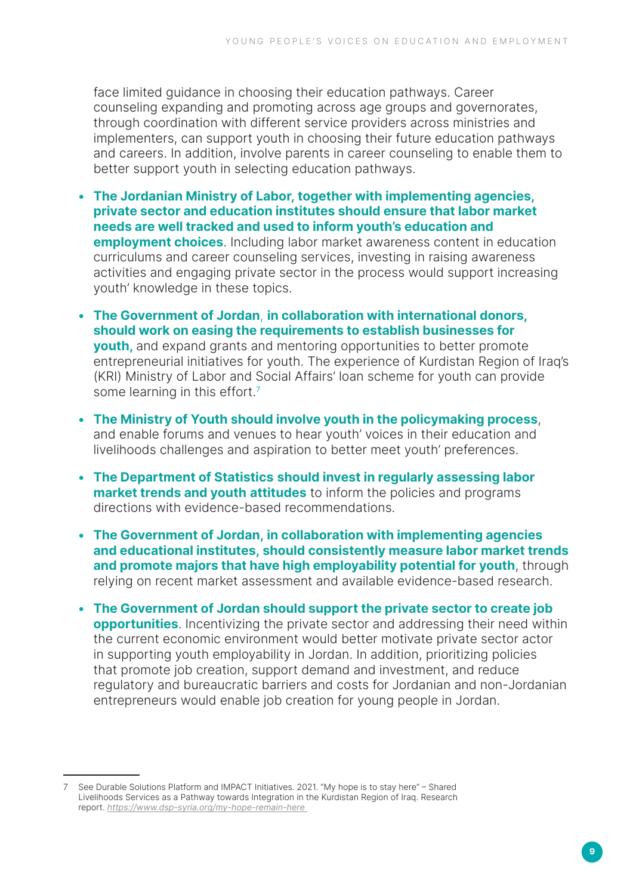face limited guidance in choosing their education pathways. Career counseling expanding and promoting across age groups and governorates, through coordination with different service providers across ministries and implementers, can support youth in choosing their future education pathways and careers. In addition, involve parents in career counseling to enable them to better support youth in selecting education pathways.

- The Jordanian Ministry of Labor, together with implementing agencies, private sector and education institutes should ensure that labor market needs are well tracked and used to inform youth's education and **employment choices**. Including labor market awareness content in education curriculums and career counseling services, investing in raising awareness activities and engaging private sector in the process would support increasing youth' knowledge in these topics.
- The Government of Jordan, in collaboration with international donors, should work on easing the requirements to establish businesses for youth, and expand grants and mentoring opportunities to better promote entrepreneurial initiatives for youth. The experience of Kurdistan Region of Iraq's (KRI) Ministry of Labor and Social Affairs' loan scheme for youth can provide some learning in this effort.<sup>7</sup>
- The Ministry of Youth should involve youth in the policymaking process, and enable forums and venues to hear youth' voices in their education and livelihoods challenges and aspiration to better meet youth' preferences.
- The Department of Statistics should invest in regularly assessing labor market trends and youth attitudes to inform the policies and programs directions with evidence-based recommendations.
- The Government of Jordan, in collaboration with implementing agencies and educational institutes, should consistently measure labor market trends and promote majors that have high employability potential for youth, through relying on recent market assessment and available evidence-based research.
- The Government of Jordan should support the private sector to create job opportunities. Incentivizing the private sector and addressing their need within the current economic environment would better motivate private sector actor in supporting youth employability in Jordan. In addition, prioritizing policies that promote job creation, support demand and investment, and reduce regulatory and bureaucratic barriers and costs for Jordanian and non-Jordanian entrepreneurs would enable job creation for young people in Jordan.

See Durable Solutions Platform and IMPACT Initiatives. 2021. "My hope is to stay here" - Shared Livelihoods Services as a Pathway towards Integration in the Kurdistan Region of Iraq. Research report. <https://www.dsp-syria.org/my-hope-remain-here>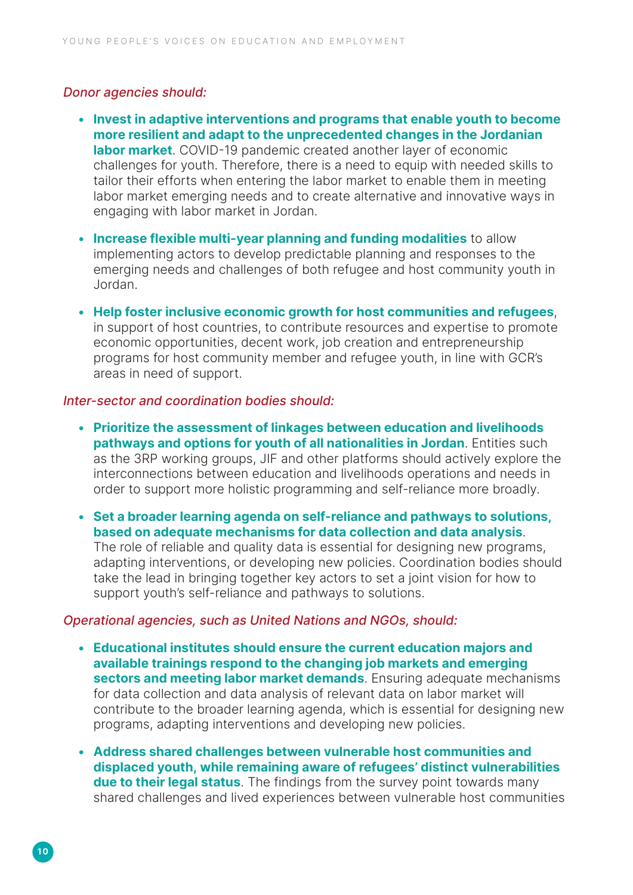#### Donor agencies should:

- Invest in adaptive interventions and programs that enable youth to become more resilient and adapt to the unprecedented changes in the Jordanian labor market. COVID-19 pandemic created another layer of economic challenges for youth. Therefore, there is a need to equip with needed skills to tailor their efforts when entering the labor market to enable them in meeting labor market emerging needs and to create alternative and innovative ways in engaging with labor market in Jordan.
- Increase flexible multi-year planning and funding modalities to allow implementing actors to develop predictable planning and responses to the emerging needs and challenges of both refugee and host community youth in Jordan.
- Help foster inclusive economic growth for host communities and refugees, in support of host countries, to contribute resources and expertise to promote economic opportunities, decent work, job creation and entrepreneurship programs for host community member and refugee youth, in line with GCR's areas in need of support.

#### Inter-sector and coordination bodies should:

- Prioritize the assessment of linkages between education and livelihoods pathways and options for youth of all nationalities in Jordan. Entities such as the 3RP working groups, JIF and other platforms should actively explore the interconnections between education and livelihoods operations and needs in order to support more holistic programming and self-reliance more broadly.
- Set a broader learning agenda on self-reliance and pathways to solutions, based on adequate mechanisms for data collection and data analysis. The role of reliable and quality data is essential for designing new programs, adapting interventions, or developing new policies. Coordination bodies should take the lead in bringing together key actors to set a joint vision for how to support youth's self-reliance and pathways to solutions.

#### Operational agencies, such as United Nations and NGOs, should:

- Educational institutes should ensure the current education majors and available trainings respond to the changing job markets and emerging sectors and meeting labor market demands. Ensuring adequate mechanisms for data collection and data analysis of relevant data on labor market will contribute to the broader learning agenda, which is essential for designing new programs, adapting interventions and developing new policies.
- Address shared challenges between vulnerable host communities and displaced youth, while remaining aware of refugees' distinct vulnerabilities due to their legal status. The findings from the survey point towards many shared challenges and lived experiences between vulnerable host communities